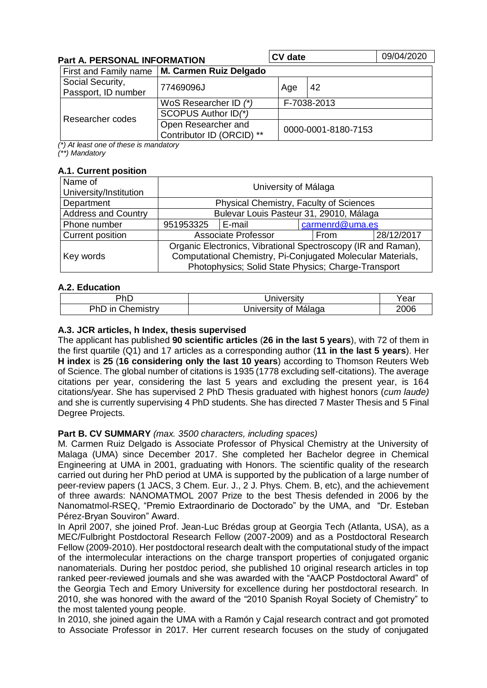| <b>Part A. PERSONAL INFORMATION</b>     |                                                  | <b>CV</b> date      |             | 09/04/2020 |  |
|-----------------------------------------|--------------------------------------------------|---------------------|-------------|------------|--|
| First and Family name                   | M. Carmen Ruiz Delgado                           |                     |             |            |  |
| Social Security,<br>Passport, ID number | 77469096J                                        | Age                 | 42          |            |  |
| Researcher codes                        | WoS Researcher ID (*)                            |                     | F-7038-2013 |            |  |
|                                         | SCOPUS Author ID(*)                              |                     |             |            |  |
|                                         | Open Researcher and<br>Contributor ID (ORCID) ** | 0000-0001-8180-7153 |             |            |  |

*(\*) At least one of these is mandatory (\*\*) Mandatory*

### **A.1. Current position**

| Name of<br>University/Institution | University of Málaga                                                                                                         |                            |                 |      |            |  |
|-----------------------------------|------------------------------------------------------------------------------------------------------------------------------|----------------------------|-----------------|------|------------|--|
| Department                        | Physical Chemistry, Faculty of Sciences                                                                                      |                            |                 |      |            |  |
| <b>Address and Country</b>        | Bulevar Louis Pasteur 31, 29010, Málaga                                                                                      |                            |                 |      |            |  |
| Phone number                      | 951953325                                                                                                                    | E-mail                     | carmenrd@uma.es |      |            |  |
| <b>Current position</b>           |                                                                                                                              | <b>Associate Professor</b> |                 | From | 28/12/2017 |  |
| Key words                         | Organic Electronics, Vibrational Spectroscopy (IR and Raman),<br>Computational Chemistry, Pi-Conjugated Molecular Materials, |                            |                 |      |            |  |
|                                   | Photophysics; Solid State Physics; Charge-Transport                                                                          |                            |                 |      |            |  |

### **A.2. Education**

| PhD                 | $1 - 1112 - 1211$<br>7ersitv | 'ear |
|---------------------|------------------------------|------|
| PhL<br>hemistrv<br> | Málaga<br>Jniversitv<br>Ωt   | 2006 |

## **A.3. JCR articles, h Index, thesis supervised**

The applicant has published **90 scientific articles** (**26 in the last 5 years**), with 72 of them in the first quartile (Q1) and 17 articles as a corresponding author (**11 in the last 5 years**). Her **H index** is **25** (**16 considering only the last 10 years**) according to Thomson Reuters Web of Science. The global number of citations is 1935 (1778 excluding self-citations). The average citations per year, considering the last 5 years and excluding the present year, is 164 citations/year. She has supervised 2 PhD Thesis graduated with highest honors (*cum laude)* and she is currently supervising 4 PhD students. She has directed 7 Master Thesis and 5 Final Degree Projects.

### **Part B. CV SUMMARY** *(max. 3500 characters, including spaces)*

M. Carmen Ruiz Delgado is Associate Professor of Physical Chemistry at the University of Malaga (UMA) since December 2017. She completed her Bachelor degree in Chemical Engineering at UMA in 2001, graduating with Honors. The scientific quality of the research carried out during her PhD period at UMA is supported by the publication of a large number of peer-review papers (1 JACS, 3 Chem. Eur. J., 2 J. Phys. Chem. B, etc), and the achievement of three awards: NANOMATMOL 2007 Prize to the best Thesis defended in 2006 by the Nanomatmol-RSEQ, "Premio Extraordinario de Doctorado" by the UMA, and "Dr. Esteban Pérez-Bryan Souviron" Award.

In April 2007, she joined Prof. Jean-Luc Brédas group at Georgia Tech (Atlanta, USA), as a MEC/Fulbright Postdoctoral Research Fellow (2007-2009) and as a Postdoctoral Research Fellow (2009-2010). Her postdoctoral research dealt with the computational study of the impact of the intermolecular interactions on the charge transport properties of conjugated organic nanomaterials. During her postdoc period, she published 10 original research articles in top ranked peer-reviewed journals and she was awarded with the "AACP Postdoctoral Award" of the Georgia Tech and Emory University for excellence during her postdoctoral research. In 2010, she was honored with the award of the "2010 Spanish Royal Society of Chemistry" to the most talented young people.

In 2010, she joined again the UMA with a Ramón y Cajal research contract and got promoted to Associate Professor in 2017. Her current research focuses on the study of conjugated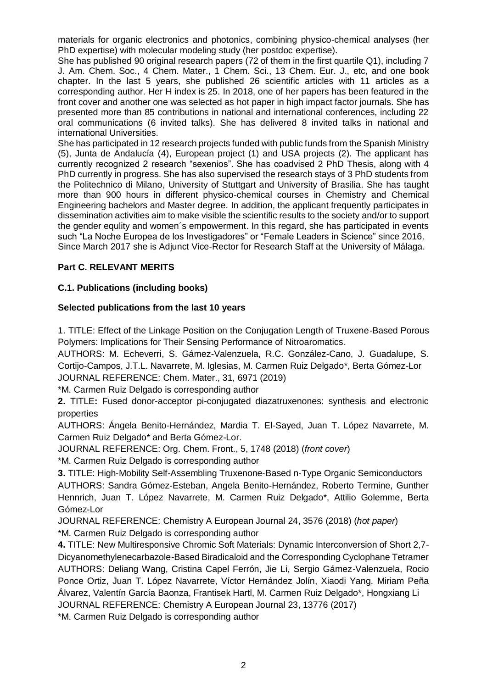materials for organic electronics and photonics, combining physico-chemical analyses (her PhD expertise) with molecular modeling study (her postdoc expertise).

She has published 90 original research papers (72 of them in the first quartile Q1), including 7 J. Am. Chem. Soc., 4 Chem. Mater., 1 Chem. Sci., 13 Chem. Eur. J., etc, and one book chapter. In the last 5 years, she published 26 scientific articles with 11 articles as a corresponding author. Her H index is 25. In 2018, one of her papers has been featured in the front cover and another one was selected as hot paper in high impact factor journals. She has presented more than 85 contributions in national and international conferences, including 22 oral communications (6 invited talks). She has delivered 8 invited talks in national and international Universities.

She has participated in 12 research projects funded with public funds from the Spanish Ministry (5), Junta de Andalucía (4), European project (1) and USA projects (2). The applicant has currently recognized 2 research "sexenios". She has coadvised 2 PhD Thesis, along with 4 PhD currently in progress. She has also supervised the research stays of 3 PhD students from the Politechnico di Milano, University of Stuttgart and University of Brasilia. She has taught more than 900 hours in different physico-chemical courses in Chemistry and Chemical Engineering bachelors and Master degree. In addition, the applicant frequently participates in dissemination activities aim to make visible the scientific results to the society and/or to support the gender equlity and women´s empowerment. In this regard, she has participated in events such "La Noche Europea de los Investigadores" or "Female Leaders in Science" since 2016. Since March 2017 she is Adjunct Vice-Rector for Research Staff at the University of Málaga.

# **Part C. RELEVANT MERITS**

## **C.1. Publications (including books)**

## **Selected publications from the last 10 years**

1. TITLE: Effect of the Linkage Position on the Conjugation Length of Truxene-Based Porous Polymers: Implications for Their Sensing Performance of Nitroaromatics.

AUTHORS: M. Echeverri, S. Gámez-Valenzuela, R.C. González-Cano, J. Guadalupe, S. Cortijo-Campos, J.T.L. Navarrete, M. Iglesias, M. Carmen Ruiz Delgado\*, Berta Gómez-Lor JOURNAL REFERENCE: Chem. Mater., 31, 6971 (2019)

\*M. Carmen Ruiz Delgado is corresponding author

**2.** TITLE**:** Fused donor-acceptor pi-conjugated diazatruxenones: synthesis and electronic properties

AUTHORS: Ángela Benito-Hernández, Mardia T. El-Sayed, Juan T. López Navarrete, M. Carmen Ruiz Delgado\* and Berta Gómez-Lor.

JOURNAL REFERENCE: Org. Chem. Front., 5, 1748 (2018) (*front cover*)

\*M. Carmen Ruiz Delgado is corresponding author

**3.** TITLE: High‐Mobility Self‐Assembling Truxenone‐Based n‐Type Organic Semiconductors

AUTHORS: Sandra Gómez‐Esteban, Angela Benito‐Hernández, Roberto Termine, Gunther Hennrich, Juan T. López Navarrete, M. Carmen Ruiz Delgado\*, Attilio Golemme, Berta Gómez‐Lor

JOURNAL REFERENCE: Chemistry A European Journal 24, 3576 (2018) (*hot paper*)

\*M. Carmen Ruiz Delgado is corresponding author

**4.** TITLE: New Multiresponsive Chromic Soft Materials: Dynamic Interconversion of Short 2,7- Dicyanomethylenecarbazole-Based Biradicaloid and the Corresponding Cyclophane Tetramer AUTHORS: Deliang Wang, Cristina Capel Ferrón, Jie Li, Sergio Gámez-Valenzuela, Rocio Ponce Ortiz, Juan T. López Navarrete, Víctor Hernández Jolín, Xiaodi Yang, Miriam Peña Álvarez, Valentín García Baonza, Frantisek Hartl, M. Carmen Ruiz Delgado\*, Hongxiang Li JOURNAL REFERENCE: Chemistry A European Journal 23, 13776 (2017)

\*M. Carmen Ruiz Delgado is corresponding author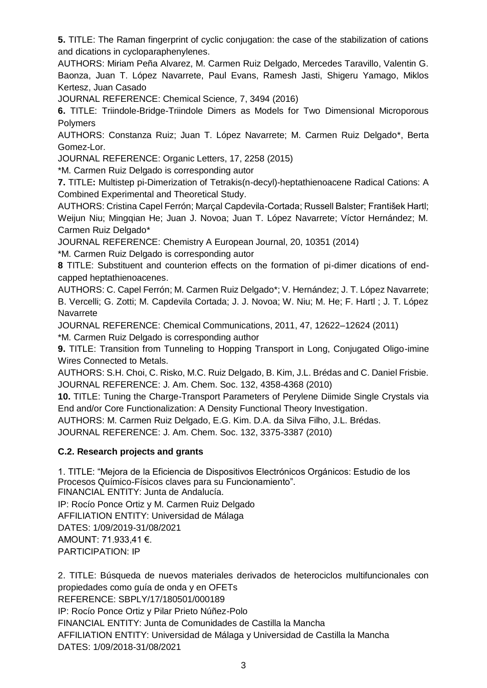**5.** TITLE: The Raman fingerprint of cyclic conjugation: the case of the stabilization of cations and dications in cycloparaphenylenes.

AUTHORS: Miriam Peña Alvarez, M. Carmen Ruiz Delgado, Mercedes Taravillo, Valentin G. Baonza, Juan T. López Navarrete, Paul Evans, Ramesh Jasti, Shigeru Yamago, Miklos Kertesz, Juan Casado

JOURNAL REFERENCE: Chemical Science*,* 7, 3494 (2016)

**6.** TITLE: Triindole-Bridge-Triindole Dimers as Models for Two Dimensional Microporous **Polymers** 

AUTHORS: Constanza Ruiz; Juan T. López Navarrete; M. Carmen Ruiz Delgado\*, Berta Gomez-Lor.

JOURNAL REFERENCE: Organic Letters, 17, 2258 (2015)

\*M. Carmen Ruiz Delgado is corresponding autor

**7.** TITLE**:** Multistep pi-Dimerization of Tetrakis(n-decyl)-heptathienoacene Radical Cations: A Combined Experimental and Theoretical Study.

AUTHORS: Cristina Capel Ferrón; Marçal Capdevila-Cortada; Russell Balster; František Hartl; Weijun Niu; Mingqian He; Juan J. Novoa; Juan T. López Navarrete; Víctor Hernández; M. Carmen Ruiz Delgado\*

JOURNAL REFERENCE: Chemistry A European Journal, 20, 10351 (2014)

\*M. Carmen Ruiz Delgado is corresponding autor

**8** TITLE: Substituent and counterion effects on the formation of pi-dimer dications of endcapped heptathienoacenes.

AUTHORS: C. Capel Ferrón; M. Carmen Ruiz Delgado\*; V. Hernández; J. T. López Navarrete; B. Vercelli; G. Zotti; M. Capdevila Cortada; J. J. Novoa; W. Niu; M. He; F. Hartl ; J. T. López Navarrete

JOURNAL REFERENCE: Chemical Communications, 2011, 47, 12622–12624 (2011)

\*M. Carmen Ruiz Delgado is corresponding author

**9.** TITLE: Transition from Tunneling to Hopping Transport in Long, Conjugated Oligo-imine Wires Connected to Metals.

AUTHORS: S.H. Choi, C. Risko, M.C. Ruiz Delgado, B. Kim, J.L. Brédas and C. Daniel Frisbie. JOURNAL REFERENCE: J. Am. Chem. Soc. 132, 4358-4368 (2010)

**10.** TITLE: Tuning the Charge-Transport Parameters of Perylene Diimide Single Crystals via End and/or Core Functionalization: A Density Functional Theory Investigation.

AUTHORS: M. Carmen Ruiz Delgado, E.G. Kim. D.A. da Silva Filho, J.L. Brédas.

JOURNAL REFERENCE: J. Am. Chem. Soc. 132, 3375-3387 (2010)

# **C.2. Research projects and grants**

1. TITLE: "Mejora de la Eficiencia de Dispositivos Electrónicos Orgánicos: Estudio de los Procesos Químico-Físicos claves para su Funcionamiento".

FINANCIAL ENTITY: Junta de Andalucía.

IP: Rocío Ponce Ortiz y M. Carmen Ruiz Delgado

AFFILIATION ENTITY: Universidad de Málaga

DATES: 1/09/2019-31/08/2021

AMOUNT: 71.933,41 €.

PARTICIPATION: IP

2. TITLE: Búsqueda de nuevos materiales derivados de heterociclos multifuncionales con propiedades como guía de onda y en OFETs REFERENCE: SBPLY/17/180501/000189 IP: Rocío Ponce Ortiz y Pilar Prieto Núñez-Polo FINANCIAL ENTITY: Junta de Comunidades de Castilla la Mancha AFFILIATION ENTITY: Universidad de Málaga y Universidad de Castilla la Mancha DATES: 1/09/2018-31/08/2021